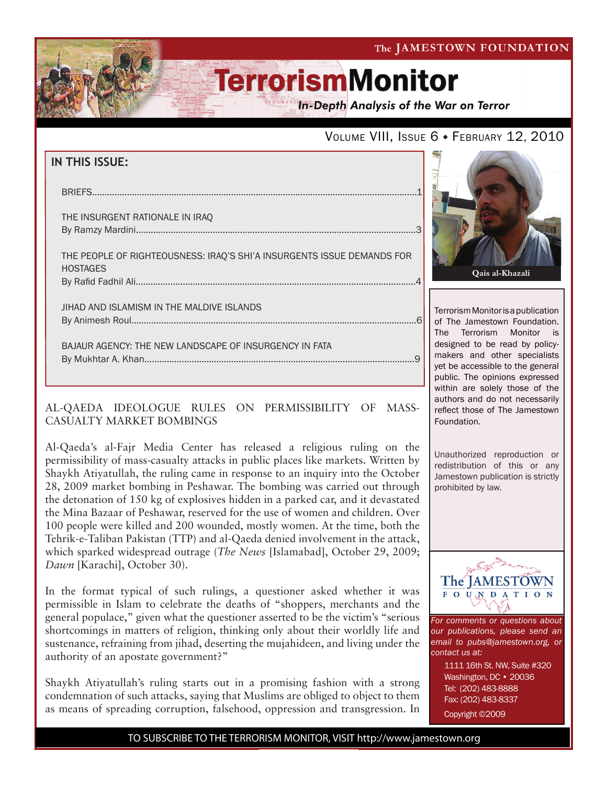The JAMESTOWN FOUNDATION

# **TerrorismMonitor**

**In-Depth Analysis of the War on Terror** 

## VOLUME VIII, ISSUE 6 + FEBRUARY 12, 2010

| <b>IN THIS ISSUE:</b>                                                                     |  |
|-------------------------------------------------------------------------------------------|--|
| <b>BRIEFS</b>                                                                             |  |
| THE INSURGENT RATIONALE IN IRAO                                                           |  |
| THE PEOPLE OF RIGHTEOUSNESS: IRAQ'S SHI'A INSURGENTS ISSUE DEMANDS FOR<br><b>HOSTAGES</b> |  |
| JIHAD AND ISLAMISM IN THE MALDIVE ISLANDS                                                 |  |

 bajaur agency: The New landscape of insurgency in Fata By Mukhtar A. Khan.............................................................................................................9

### AL-QAEDA IDEOLOGUE RULES ON PERMISSIBILITY OF MASS-CASUALTY MARKET BOMBINGS

Al-Qaeda's al-Fajr Media Center has released a religious ruling on the permissibility of mass-casualty attacks in public places like markets. Written by Shaykh Atiyatullah, the ruling came in response to an inquiry into the October 28, 2009 market bombing in Peshawar. The bombing was carried out through the detonation of 150 kg of explosives hidden in a parked car, and it devastated the Mina Bazaar of Peshawar, reserved for the use of women and children. Over 100 people were killed and 200 wounded, mostly women. At the time, both the Tehrik-e-Taliban Pakistan (TTP) and al-Qaeda denied involvement in the attack, which sparked widespread outrage (*The News* [Islamabad], October 29, 2009; *Dawn* [Karachi], October 30).

In the format typical of such rulings, a questioner asked whether it was permissible in Islam to celebrate the deaths of "shoppers, merchants and the general populace," given what the questioner asserted to be the victim's "serious shortcomings in matters of religion, thinking only about their worldly life and sustenance, refraining from jihad, deserting the mujahideen, and living under the authority of an apostate government?"

Shaykh Atiyatullah's ruling starts out in a promising fashion with a strong condemnation of such attacks, saying that Muslims are obliged to object to them as means of spreading corruption, falsehood, oppression and transgression. In



Terrorism Monitor is a publication of The Jamestown Foundation. The Terrorism Monitor is designed to be read by policymakers and other specialists yet be accessible to the general public. The opinions expressed within are solely those of the authors and do not necessarily reflect those of The Jamestown Foundation.

Unauthorized reproduction or redistribution of this or any Jamestown publication is strictly prohibited by law.



*For comments or questions about our publications, please send an email to pubs@jamestown.org, or contact us at:* 

> 1111 16th St. NW, Suite #320 Washington, DC • 20036 Tel: (202) 483-8888 Fax: (202) 483-8337 Copyright ©2009

TO SUBSCRIBE TO THE TERRORISM MONITOR, VISIT http://www.jamestown.org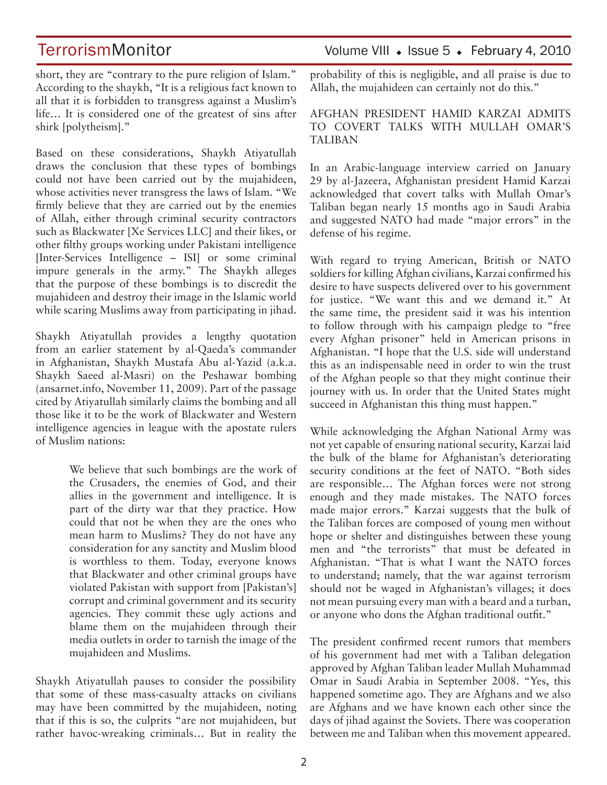short, they are "contrary to the pure religion of Islam." According to the shaykh, "It is a religious fact known to all that it is forbidden to transgress against a Muslim's life… It is considered one of the greatest of sins after shirk [polytheism]."

Based on these considerations, Shaykh Atiyatullah draws the conclusion that these types of bombings could not have been carried out by the mujahideen, whose activities never transgress the laws of Islam. "We firmly believe that they are carried out by the enemies of Allah, either through criminal security contractors such as Blackwater [Xe Services LLC] and their likes, or other filthy groups working under Pakistani intelligence [Inter-Services Intelligence – ISI] or some criminal impure generals in the army." The Shaykh alleges that the purpose of these bombings is to discredit the mujahideen and destroy their image in the Islamic world while scaring Muslims away from participating in jihad.

Shaykh Atiyatullah provides a lengthy quotation from an earlier statement by al-Qaeda's commander in Afghanistan, Shaykh Mustafa Abu al-Yazid (a.k.a. Shaykh Saeed al-Masri) on the Peshawar bombing (ansarnet.info, November 11, 2009). Part of the passage cited by Atiyatullah similarly claims the bombing and all those like it to be the work of Blackwater and Western intelligence agencies in league with the apostate rulers of Muslim nations:

> We believe that such bombings are the work of the Crusaders, the enemies of God, and their allies in the government and intelligence. It is part of the dirty war that they practice. How could that not be when they are the ones who mean harm to Muslims? They do not have any consideration for any sanctity and Muslim blood is worthless to them. Today, everyone knows that Blackwater and other criminal groups have violated Pakistan with support from [Pakistan's] corrupt and criminal government and its security agencies. They commit these ugly actions and blame them on the mujahideen through their media outlets in order to tarnish the image of the mujahideen and Muslims.

Shaykh Atiyatullah pauses to consider the possibility that some of these mass-casualty attacks on civilians may have been committed by the mujahideen, noting that if this is so, the culprits "are not mujahideen, but rather havoc-wreaking criminals… But in reality the

TerrorismMonitor Volume VIII • Issue 5 • February 4, 2010

probability of this is negligible, and all praise is due to Allah, the mujahideen can certainly not do this."

### AFGHAN PRESIDENT HAMID KARZAI ADMITS TO COVERT TALKS WITH MULLAH OMAR'S TALIBAN

In an Arabic-language interview carried on January 29 by al-Jazeera, Afghanistan president Hamid Karzai acknowledged that covert talks with Mullah Omar's Taliban began nearly 15 months ago in Saudi Arabia and suggested NATO had made "major errors" in the defense of his regime.

With regard to trying American, British or NATO soldiers for killing Afghan civilians, Karzai confirmed his desire to have suspects delivered over to his government for justice. "We want this and we demand it." At the same time, the president said it was his intention to follow through with his campaign pledge to "free every Afghan prisoner" held in American prisons in Afghanistan. "I hope that the U.S. side will understand this as an indispensable need in order to win the trust of the Afghan people so that they might continue their journey with us. In order that the United States might succeed in Afghanistan this thing must happen."

While acknowledging the Afghan National Army was not yet capable of ensuring national security, Karzai laid the bulk of the blame for Afghanistan's deteriorating security conditions at the feet of NATO. "Both sides are responsible… The Afghan forces were not strong enough and they made mistakes. The NATO forces made major errors." Karzai suggests that the bulk of the Taliban forces are composed of young men without hope or shelter and distinguishes between these young men and "the terrorists" that must be defeated in Afghanistan. "That is what I want the NATO forces to understand; namely, that the war against terrorism should not be waged in Afghanistan's villages; it does not mean pursuing every man with a beard and a turban, or anyone who dons the Afghan traditional outfit."

The president confirmed recent rumors that members of his government had met with a Taliban delegation approved by Afghan Taliban leader Mullah Muhammad Omar in Saudi Arabia in September 2008. "Yes, this happened sometime ago. They are Afghans and we also are Afghans and we have known each other since the days of jihad against the Soviets. There was cooperation between me and Taliban when this movement appeared.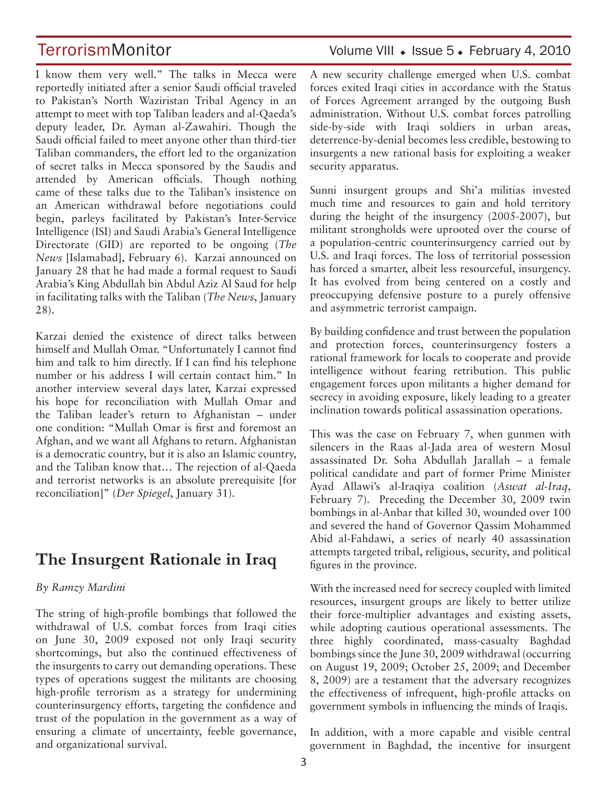I know them very well." The talks in Mecca were reportedly initiated after a senior Saudi official traveled to Pakistan's North Waziristan Tribal Agency in an attempt to meet with top Taliban leaders and al-Qaeda's deputy leader, Dr. Ayman al-Zawahiri. Though the Saudi official failed to meet anyone other than third-tier Taliban commanders, the effort led to the organization of secret talks in Mecca sponsored by the Saudis and attended by American officials. Though nothing came of these talks due to the Taliban's insistence on an American withdrawal before negotiations could begin, parleys facilitated by Pakistan's Inter-Service Intelligence (ISI) and Saudi Arabia's General Intelligence Directorate (GID) are reported to be ongoing (*The News* [Islamabad], February 6). Karzai announced on January 28 that he had made a formal request to Saudi Arabia's King Abdullah bin Abdul Aziz Al Saud for help in facilitating talks with the Taliban (*The News*, January 28).

Karzai denied the existence of direct talks between himself and Mullah Omar. "Unfortunately I cannot find him and talk to him directly. If I can find his telephone number or his address I will certain contact him." In another interview several days later, Karzai expressed his hope for reconciliation with Mullah Omar and the Taliban leader's return to Afghanistan – under one condition: "Mullah Omar is first and foremost an Afghan, and we want all Afghans to return. Afghanistan is a democratic country, but it is also an Islamic country, and the Taliban know that… The rejection of al-Qaeda and terrorist networks is an absolute prerequisite [for reconciliation]" (*Der Spiegel*, January 31).

## **The Insurgent Rationale in Iraq**

### *By Ramzy Mardini*

The string of high-profile bombings that followed the withdrawal of U.S. combat forces from Iraqi cities on June 30, 2009 exposed not only Iraqi security shortcomings, but also the continued effectiveness of the insurgents to carry out demanding operations. These types of operations suggest the militants are choosing high-profile terrorism as a strategy for undermining counterinsurgency efforts, targeting the confidence and trust of the population in the government as a way of ensuring a climate of uncertainty, feeble governance, and organizational survival.

## TerrorismMonitor Volume VIII • Issue 5 • February 4, 2010

A new security challenge emerged when U.S. combat forces exited Iraqi cities in accordance with the Status of Forces Agreement arranged by the outgoing Bush administration. Without U.S. combat forces patrolling side-by-side with Iraqi soldiers in urban areas, deterrence-by-denial becomes less credible, bestowing to insurgents a new rational basis for exploiting a weaker security apparatus.

Sunni insurgent groups and Shi'a militias invested much time and resources to gain and hold territory during the height of the insurgency (2005-2007), but militant strongholds were uprooted over the course of a population-centric counterinsurgency carried out by U.S. and Iraqi forces. The loss of territorial possession has forced a smarter, albeit less resourceful, insurgency. It has evolved from being centered on a costly and preoccupying defensive posture to a purely offensive and asymmetric terrorist campaign.

By building confidence and trust between the population and protection forces, counterinsurgency fosters a rational framework for locals to cooperate and provide intelligence without fearing retribution. This public engagement forces upon militants a higher demand for secrecy in avoiding exposure, likely leading to a greater inclination towards political assassination operations.

This was the case on February 7, when gunmen with silencers in the Raas al-Jada area of western Mosul assassinated Dr. Soha Abdullah Jarallah – a female political candidate and part of former Prime Minister Ayad Allawi's al-Iraqiya coalition (*Aswat al-Iraq*, February 7). Preceding the December 30, 2009 twin bombings in al-Anbar that killed 30, wounded over 100 and severed the hand of Governor Qassim Mohammed Abid al-Fahdawi, a series of nearly 40 assassination attempts targeted tribal, religious, security, and political figures in the province.

With the increased need for secrecy coupled with limited resources, insurgent groups are likely to better utilize their force-multiplier advantages and existing assets, while adopting cautious operational assessments. The three highly coordinated, mass-casualty Baghdad bombings since the June 30, 2009 withdrawal (occurring on August 19, 2009; October 25, 2009; and December 8, 2009) are a testament that the adversary recognizes the effectiveness of infrequent, high-profile attacks on government symbols in influencing the minds of Iraqis.

In addition, with a more capable and visible central government in Baghdad, the incentive for insurgent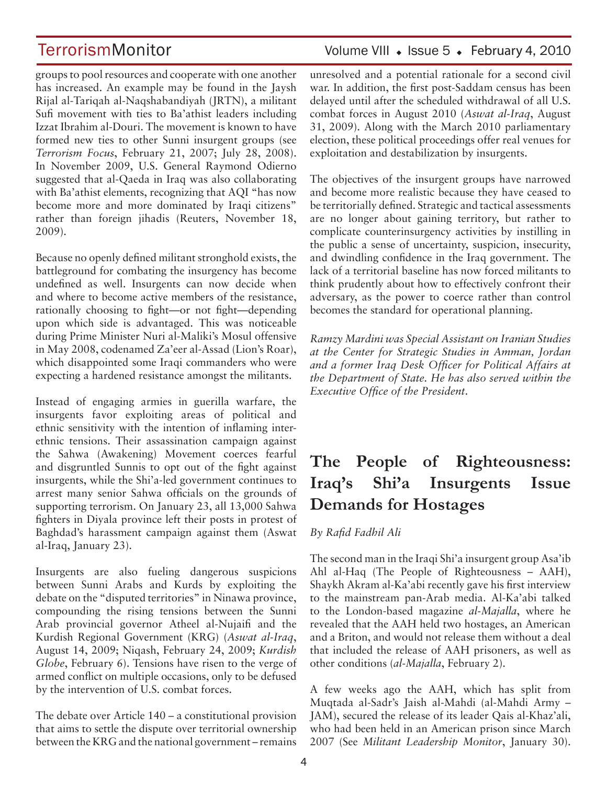groups to pool resources and cooperate with one another has increased. An example may be found in the Jaysh Rijal al-Tariqah al-Naqshabandiyah (JRTN), a militant Sufi movement with ties to Ba'athist leaders including Izzat Ibrahim al-Douri. The movement is known to have formed new ties to other Sunni insurgent groups (see *Terrorism Focus*, February 21, 2007; July 28, 2008). In November 2009, U.S. General Raymond Odierno suggested that al-Qaeda in Iraq was also collaborating with Ba'athist elements, recognizing that AQI "has now become more and more dominated by Iraqi citizens" rather than foreign jihadis (Reuters, November 18, 2009).

Because no openly defined militant stronghold exists, the battleground for combating the insurgency has become undefined as well. Insurgents can now decide when and where to become active members of the resistance, rationally choosing to fight—or not fight—depending upon which side is advantaged. This was noticeable during Prime Minister Nuri al-Maliki's Mosul offensive in May 2008, codenamed Za'eer al-Assad (Lion's Roar), which disappointed some Iraqi commanders who were expecting a hardened resistance amongst the militants.

Instead of engaging armies in guerilla warfare, the insurgents favor exploiting areas of political and ethnic sensitivity with the intention of inflaming interethnic tensions. Their assassination campaign against the Sahwa (Awakening) Movement coerces fearful and disgruntled Sunnis to opt out of the fight against insurgents, while the Shi'a-led government continues to arrest many senior Sahwa officials on the grounds of supporting terrorism. On January 23, all 13,000 Sahwa fighters in Diyala province left their posts in protest of Baghdad's harassment campaign against them (Aswat al-Iraq, January 23).

Insurgents are also fueling dangerous suspicions between Sunni Arabs and Kurds by exploiting the debate on the "disputed territories" in Ninawa province, compounding the rising tensions between the Sunni Arab provincial governor Atheel al-Nujaifi and the Kurdish Regional Government (KRG) (*Aswat al-Iraq*, August 14, 2009; Niqash, February 24, 2009; *Kurdish Globe*, February 6). Tensions have risen to the verge of armed conflict on multiple occasions, only to be defused by the intervention of U.S. combat forces.

The debate over Article 140 – a constitutional provision that aims to settle the dispute over territorial ownership between the KRG and the national government – remains

### unresolved and a potential rationale for a second civil war. In addition, the first post-Saddam census has been delayed until after the scheduled withdrawal of all U.S. combat forces in August 2010 (*Aswat al-Iraq*, August 31, 2009). Along with the March 2010 parliamentary election, these political proceedings offer real venues for exploitation and destabilization by insurgents.

The objectives of the insurgent groups have narrowed and become more realistic because they have ceased to be territorially defined. Strategic and tactical assessments are no longer about gaining territory, but rather to complicate counterinsurgency activities by instilling in the public a sense of uncertainty, suspicion, insecurity, and dwindling confidence in the Iraq government. The lack of a territorial baseline has now forced militants to think prudently about how to effectively confront their adversary, as the power to coerce rather than control becomes the standard for operational planning.

*Ramzy Mardini was Special Assistant on Iranian Studies at the Center for Strategic Studies in Amman, Jordan and a former Iraq Desk Officer for Political Affairs at the Department of State. He has also served within the Executive Office of the President*.

## **The People of Righteousness: Iraq's Shi'a Insurgents Issue Demands for Hostages**

*By Rafid Fadhil Ali* 

The second man in the Iraqi Shi'a insurgent group Asa'ib Ahl al-Haq (The People of Righteousness – AAH), Shaykh Akram al-Ka'abi recently gave his first interview to the mainstream pan-Arab media. Al-Ka'abi talked to the London-based magazine *al-Majalla*, where he revealed that the AAH held two hostages, an American and a Briton, and would not release them without a deal that included the release of AAH prisoners, as well as other conditions (*al-Majalla*, February 2).

A few weeks ago the AAH, which has split from Muqtada al-Sadr's Jaish al-Mahdi (al-Mahdi Army – JAM), secured the release of its leader Qais al-Khaz'ali, who had been held in an American prison since March 2007 (See *Militant Leadership Monitor*, January 30).

## TerrorismMonitor Volume VIII • Issue 5 • February 4, 2010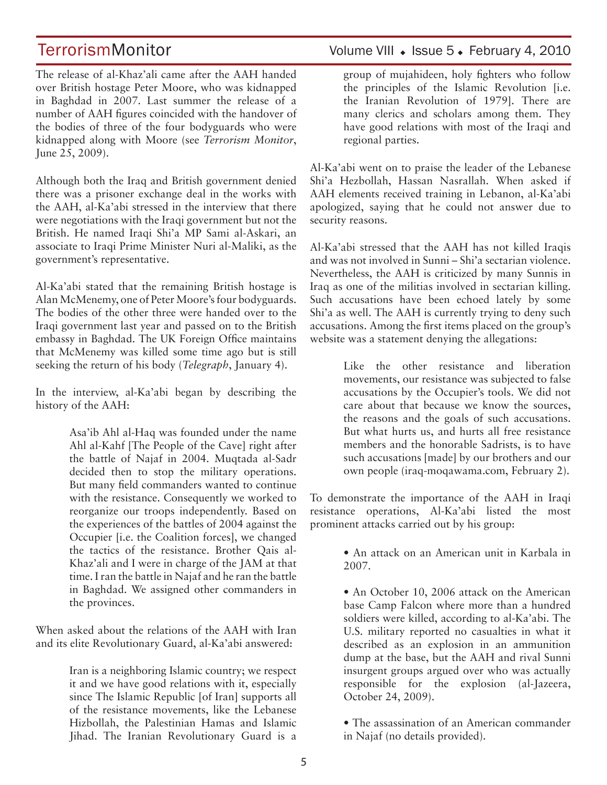The release of al-Khaz'ali came after the AAH handed over British hostage Peter Moore, who was kidnapped in Baghdad in 2007. Last summer the release of a number of AAH figures coincided with the handover of the bodies of three of the four bodyguards who were kidnapped along with Moore (see *Terrorism Monitor*, June 25, 2009).

Although both the Iraq and British government denied there was a prisoner exchange deal in the works with the AAH, al-Ka'abi stressed in the interview that there were negotiations with the Iraqi government but not the British. He named Iraqi Shi'a MP Sami al-Askari, an associate to Iraqi Prime Minister Nuri al-Maliki, as the government's representative.

Al-Ka'abi stated that the remaining British hostage is Alan McMenemy, one of Peter Moore's four bodyguards. The bodies of the other three were handed over to the Iraqi government last year and passed on to the British embassy in Baghdad. The UK Foreign Office maintains that McMenemy was killed some time ago but is still seeking the return of his body (*Telegraph*, January 4).

In the interview, al-Ka'abi began by describing the history of the AAH:

> Asa'ib Ahl al-Haq was founded under the name Ahl al-Kahf [The People of the Cave] right after the battle of Najaf in 2004. Muqtada al-Sadr decided then to stop the military operations. But many field commanders wanted to continue with the resistance. Consequently we worked to reorganize our troops independently. Based on the experiences of the battles of 2004 against the Occupier [i.e. the Coalition forces], we changed the tactics of the resistance. Brother Qais al-Khaz'ali and I were in charge of the JAM at that time. I ran the battle in Najaf and he ran the battle in Baghdad. We assigned other commanders in the provinces.

When asked about the relations of the AAH with Iran and its elite Revolutionary Guard, al-Ka'abi answered:

> Iran is a neighboring Islamic country; we respect it and we have good relations with it, especially since The Islamic Republic [of Iran] supports all of the resistance movements, like the Lebanese Hizbollah, the Palestinian Hamas and Islamic Jihad. The Iranian Revolutionary Guard is a

## TerrorismMonitor Volume VIII • Issue 5 • February 4, 2010

group of mujahideen, holy fighters who follow the principles of the Islamic Revolution [i.e. the Iranian Revolution of 1979]. There are many clerics and scholars among them. They have good relations with most of the Iraqi and regional parties.

Al-Ka'abi went on to praise the leader of the Lebanese Shi'a Hezbollah, Hassan Nasrallah. When asked if AAH elements received training in Lebanon, al-Ka'abi apologized, saying that he could not answer due to security reasons.

Al-Ka'abi stressed that the AAH has not killed Iraqis and was not involved in Sunni – Shi'a sectarian violence. Nevertheless, the AAH is criticized by many Sunnis in Iraq as one of the militias involved in sectarian killing. Such accusations have been echoed lately by some Shi'a as well. The AAH is currently trying to deny such accusations. Among the first items placed on the group's website was a statement denying the allegations:

> Like the other resistance and liberation movements, our resistance was subjected to false accusations by the Occupier's tools. We did not care about that because we know the sources, the reasons and the goals of such accusations. But what hurts us, and hurts all free resistance members and the honorable Sadrists, is to have such accusations [made] by our brothers and our own people (iraq-moqawama.com, February 2).

To demonstrate the importance of the AAH in Iraqi resistance operations, Al-Ka'abi listed the most prominent attacks carried out by his group:

> • An attack on an American unit in Karbala in 2007.

> • An October 10, 2006 attack on the American base Camp Falcon where more than a hundred soldiers were killed, according to al-Ka'abi. The U.S. military reported no casualties in what it described as an explosion in an ammunition dump at the base, but the AAH and rival Sunni insurgent groups argued over who was actually responsible for the explosion (al-Jazeera, October 24, 2009).

> • The assassination of an American commander in Najaf (no details provided).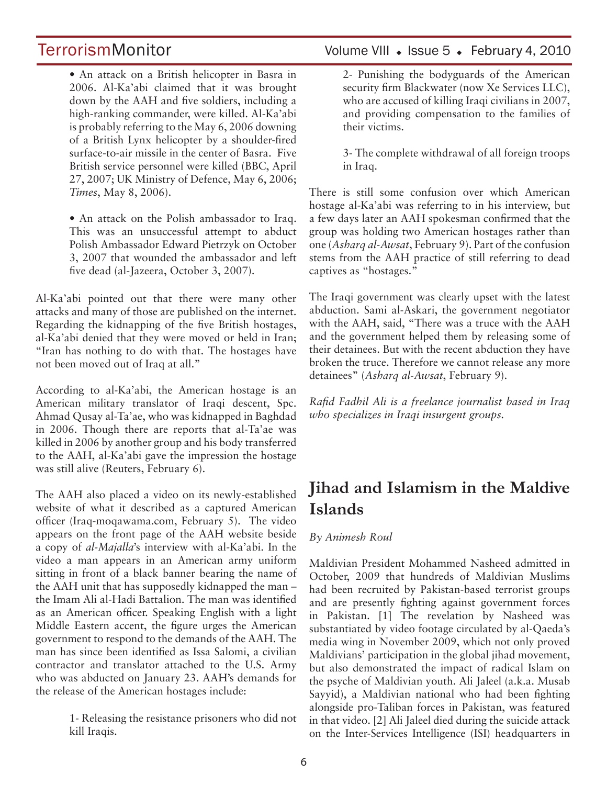• An attack on a British helicopter in Basra in 2006. Al-Ka'abi claimed that it was brought down by the AAH and five soldiers, including a high-ranking commander, were killed. Al-Ka'abi is probably referring to the May 6, 2006 downing of a British Lynx helicopter by a shoulder-fired surface-to-air missile in the center of Basra. Five British service personnel were killed (BBC, April 27, 2007; UK Ministry of Defence, May 6, 2006; *Times*, May 8, 2006).

• An attack on the Polish ambassador to Iraq. This was an unsuccessful attempt to abduct Polish Ambassador Edward Pietrzyk on October 3, 2007 that wounded the ambassador and left five dead (al-Jazeera, October 3, 2007).

Al-Ka'abi pointed out that there were many other attacks and many of those are published on the internet. Regarding the kidnapping of the five British hostages, al-Ka'abi denied that they were moved or held in Iran; "Iran has nothing to do with that. The hostages have not been moved out of Iraq at all."

According to al-Ka'abi, the American hostage is an American military translator of Iraqi descent, Spc. Ahmad Qusay al-Ta'ae, who was kidnapped in Baghdad in 2006. Though there are reports that al-Ta'ae was killed in 2006 by another group and his body transferred to the AAH, al-Ka'abi gave the impression the hostage was still alive (Reuters, February 6).

The AAH also placed a video on its newly-established website of what it described as a captured American officer (Iraq-moqawama.com, February 5). The video appears on the front page of the AAH website beside a copy of *al-Majalla*'s interview with al-Ka'abi. In the video a man appears in an American army uniform sitting in front of a black banner bearing the name of the AAH unit that has supposedly kidnapped the man – the Imam Ali al-Hadi Battalion. The man was identified as an American officer. Speaking English with a light Middle Eastern accent, the figure urges the American government to respond to the demands of the AAH. The man has since been identified as Issa Salomi, a civilian contractor and translator attached to the U.S. Army who was abducted on January 23. AAH's demands for the release of the American hostages include:

> 1- Releasing the resistance prisoners who did not kill Iraqis.

## TerrorismMonitor Volume VIII • Issue 5 • February 4, 2010

2- Punishing the bodyguards of the American security firm Blackwater (now Xe Services LLC), who are accused of killing Iraqi civilians in 2007, and providing compensation to the families of their victims.

3- The complete withdrawal of all foreign troops in Iraq.

There is still some confusion over which American hostage al-Ka'abi was referring to in his interview, but a few days later an AAH spokesman confirmed that the group was holding two American hostages rather than one (*Asharq al-Awsat*, February 9). Part of the confusion stems from the AAH practice of still referring to dead captives as "hostages."

The Iraqi government was clearly upset with the latest abduction. Sami al-Askari, the government negotiator with the AAH, said, "There was a truce with the AAH and the government helped them by releasing some of their detainees. But with the recent abduction they have broken the truce. Therefore we cannot release any more detainees" (*Asharq al-Awsat*, February 9).

*Rafid Fadhil Ali is a freelance journalist based in Iraq who specializes in Iraqi insurgent groups.*

## **Jihad and Islamism in the Maldive Islands**

### *By Animesh Roul*

Maldivian President Mohammed Nasheed admitted in October, 2009 that hundreds of Maldivian Muslims had been recruited by Pakistan-based terrorist groups and are presently fighting against government forces in Pakistan. [1] The revelation by Nasheed was substantiated by video footage circulated by al-Qaeda's media wing in November 2009, which not only proved Maldivians' participation in the global jihad movement, but also demonstrated the impact of radical Islam on the psyche of Maldivian youth. Ali Jaleel (a.k.a. Musab Sayyid), a Maldivian national who had been fighting alongside pro-Taliban forces in Pakistan, was featured in that video. [2] Ali Jaleel died during the suicide attack on the Inter-Services Intelligence (ISI) headquarters in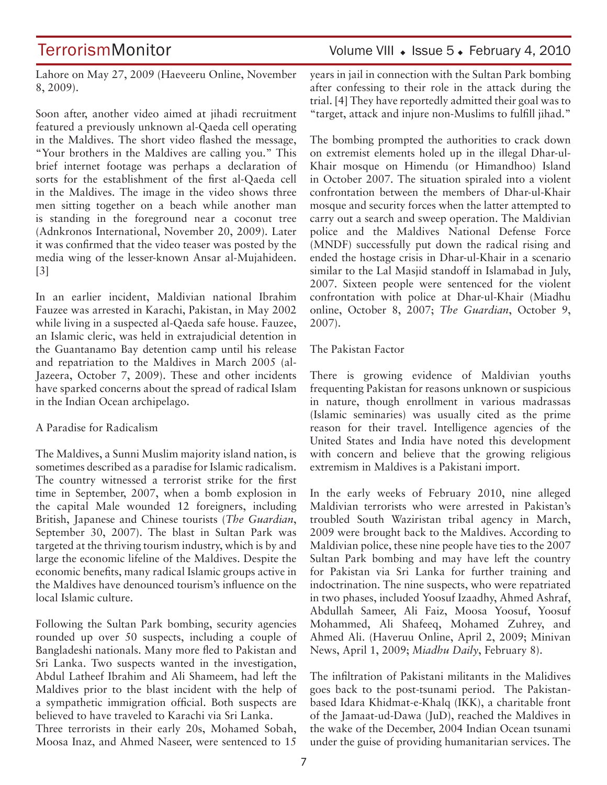TerrorismMonitor Volume VIII + Issue 5 + February 4, 2010

Lahore on May 27, 2009 (Haeveeru Online, November 8, 2009).

Soon after, another video aimed at jihadi recruitment featured a previously unknown al-Qaeda cell operating in the Maldives. The short video flashed the message, "Your brothers in the Maldives are calling you." This brief internet footage was perhaps a declaration of sorts for the establishment of the first al-Qaeda cell in the Maldives. The image in the video shows three men sitting together on a beach while another man is standing in the foreground near a coconut tree (Adnkronos International, November 20, 2009). Later it was confirmed that the video teaser was posted by the media wing of the lesser-known Ansar al-Mujahideen. [3]

In an earlier incident, Maldivian national Ibrahim Fauzee was arrested in Karachi, Pakistan, in May 2002 while living in a suspected al-Qaeda safe house. Fauzee, an Islamic cleric, was held in extrajudicial detention in the Guantanamo Bay detention camp until his release and repatriation to the Maldives in March 2005 (al-Jazeera, October 7, 2009). These and other incidents have sparked concerns about the spread of radical Islam in the Indian Ocean archipelago.

### A Paradise for Radicalism

The Maldives, a Sunni Muslim majority island nation, is sometimes described as a paradise for Islamic radicalism. The country witnessed a terrorist strike for the first time in September, 2007, when a bomb explosion in the capital Male wounded 12 foreigners, including British, Japanese and Chinese tourists (*The Guardian*, September 30, 2007). The blast in Sultan Park was targeted at the thriving tourism industry, which is by and large the economic lifeline of the Maldives. Despite the economic benefits, many radical Islamic groups active in the Maldives have denounced tourism's influence on the local Islamic culture.

Following the Sultan Park bombing, security agencies rounded up over 50 suspects, including a couple of Bangladeshi nationals. Many more fled to Pakistan and Sri Lanka. Two suspects wanted in the investigation, Abdul Latheef Ibrahim and Ali Shameem, had left the Maldives prior to the blast incident with the help of a sympathetic immigration official. Both suspects are believed to have traveled to Karachi via Sri Lanka.

Three terrorists in their early 20s, Mohamed Sobah, Moosa Inaz, and Ahmed Naseer, were sentenced to 15 years in jail in connection with the Sultan Park bombing after confessing to their role in the attack during the trial. [4] They have reportedly admitted their goal was to "target, attack and injure non-Muslims to fulfill jihad."

The bombing prompted the authorities to crack down on extremist elements holed up in the illegal Dhar-ul-Khair mosque on Himendu (or Himandhoo) Island in October 2007. The situation spiraled into a violent confrontation between the members of Dhar-ul-Khair mosque and security forces when the latter attempted to carry out a search and sweep operation. The Maldivian police and the Maldives National Defense Force (MNDF) successfully put down the radical rising and ended the hostage crisis in Dhar-ul-Khair in a scenario similar to the Lal Masjid standoff in Islamabad in July, 2007. Sixteen people were sentenced for the violent confrontation with police at Dhar-ul-Khair (Miadhu online, October 8, 2007; *The Guardian*, October 9, 2007).

### The Pakistan Factor

There is growing evidence of Maldivian youths frequenting Pakistan for reasons unknown or suspicious in nature, though enrollment in various madrassas (Islamic seminaries) was usually cited as the prime reason for their travel. Intelligence agencies of the United States and India have noted this development with concern and believe that the growing religious extremism in Maldives is a Pakistani import.

In the early weeks of February 2010, nine alleged Maldivian terrorists who were arrested in Pakistan's troubled South Waziristan tribal agency in March, 2009 were brought back to the Maldives. According to Maldivian police, these nine people have ties to the 2007 Sultan Park bombing and may have left the country for Pakistan via Sri Lanka for further training and indoctrination. The nine suspects, who were repatriated in two phases, included Yoosuf Izaadhy, Ahmed Ashraf, Abdullah Sameer, Ali Faiz, Moosa Yoosuf, Yoosuf Mohammed, Ali Shafeeq, Mohamed Zuhrey, and Ahmed Ali. (Haveruu Online, April 2, 2009; Minivan News, April 1, 2009; *Miadhu Daily*, February 8).

The infiltration of Pakistani militants in the Malidives goes back to the post-tsunami period. The Pakistanbased Idara Khidmat-e-Khalq (IKK), a charitable front of the Jamaat-ud-Dawa (JuD), reached the Maldives in the wake of the December, 2004 Indian Ocean tsunami under the guise of providing humanitarian services. The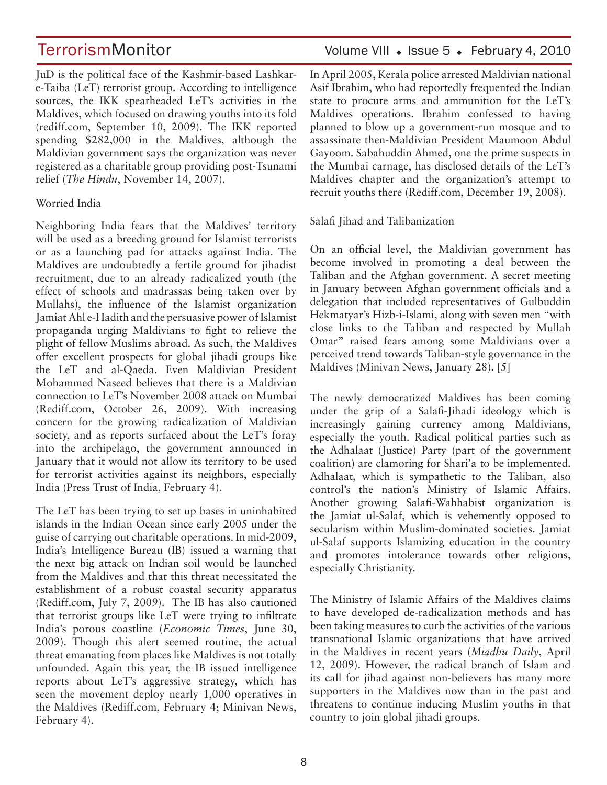JuD is the political face of the Kashmir-based Lashkare-Taiba (LeT) terrorist group. According to intelligence sources, the IKK spearheaded LeT's activities in the Maldives, which focused on drawing youths into its fold (rediff.com, September 10, 2009). The IKK reported spending \$282,000 in the Maldives, although the Maldivian government says the organization was never registered as a charitable group providing post-Tsunami relief (*The Hindu*, November 14, 2007).

### Worried India

Neighboring India fears that the Maldives' territory will be used as a breeding ground for Islamist terrorists or as a launching pad for attacks against India. The Maldives are undoubtedly a fertile ground for jihadist recruitment, due to an already radicalized youth (the effect of schools and madrassas being taken over by Mullahs), the influence of the Islamist organization Jamiat Ahl e-Hadith and the persuasive power of Islamist propaganda urging Maldivians to fight to relieve the plight of fellow Muslims abroad. As such, the Maldives offer excellent prospects for global jihadi groups like the LeT and al-Qaeda. Even Maldivian President Mohammed Naseed believes that there is a Maldivian connection to LeT's November 2008 attack on Mumbai (Rediff.com, October 26, 2009). With increasing concern for the growing radicalization of Maldivian society, and as reports surfaced about the LeT's foray into the archipelago, the government announced in January that it would not allow its territory to be used for terrorist activities against its neighbors, especially India (Press Trust of India, February 4).

The LeT has been trying to set up bases in uninhabited islands in the Indian Ocean since early 2005 under the guise of carrying out charitable operations. In mid-2009, India's Intelligence Bureau (IB) issued a warning that the next big attack on Indian soil would be launched from the Maldives and that this threat necessitated the establishment of a robust coastal security apparatus (Rediff.com, July 7, 2009). The IB has also cautioned that terrorist groups like LeT were trying to infiltrate India's porous coastline (*Economic Times*, June 30, 2009). Though this alert seemed routine, the actual threat emanating from places like Maldives is not totally unfounded. Again this year, the IB issued intelligence reports about LeT's aggressive strategy, which has seen the movement deploy nearly 1,000 operatives in the Maldives (Rediff.com, February 4; Minivan News, February 4).

## TerrorismMonitor Volume VIII • Issue 5 • February 4, 2010

In April 2005, Kerala police arrested Maldivian national Asif Ibrahim, who had reportedly frequented the Indian state to procure arms and ammunition for the LeT's Maldives operations. Ibrahim confessed to having planned to blow up a government-run mosque and to assassinate then-Maldivian President Maumoon Abdul Gayoom. Sabahuddin Ahmed, one the prime suspects in the Mumbai carnage, has disclosed details of the LeT's Maldives chapter and the organization's attempt to recruit youths there (Rediff.com, December 19, 2008).

Salafi Jihad and Talibanization

On an official level, the Maldivian government has become involved in promoting a deal between the Taliban and the Afghan government. A secret meeting in January between Afghan government officials and a delegation that included representatives of Gulbuddin Hekmatyar's Hizb-i-Islami, along with seven men "with close links to the Taliban and respected by Mullah Omar" raised fears among some Maldivians over a perceived trend towards Taliban-style governance in the Maldives (Minivan News, January 28). [5]

The newly democratized Maldives has been coming under the grip of a Salafi-Jihadi ideology which is increasingly gaining currency among Maldivians, especially the youth. Radical political parties such as the Adhalaat (Justice) Party (part of the government coalition) are clamoring for Shari'a to be implemented. Adhalaat, which is sympathetic to the Taliban, also control's the nation's Ministry of Islamic Affairs. Another growing Salafi-Wahhabist organization is the Jamiat ul-Salaf, which is vehemently opposed to secularism within Muslim-dominated societies. Jamiat ul-Salaf supports Islamizing education in the country and promotes intolerance towards other religions, especially Christianity.

The Ministry of Islamic Affairs of the Maldives claims to have developed de-radicalization methods and has been taking measures to curb the activities of the various transnational Islamic organizations that have arrived in the Maldives in recent years (*Miadhu Daily*, April 12, 2009). However, the radical branch of Islam and its call for jihad against non-believers has many more supporters in the Maldives now than in the past and threatens to continue inducing Muslim youths in that country to join global jihadi groups.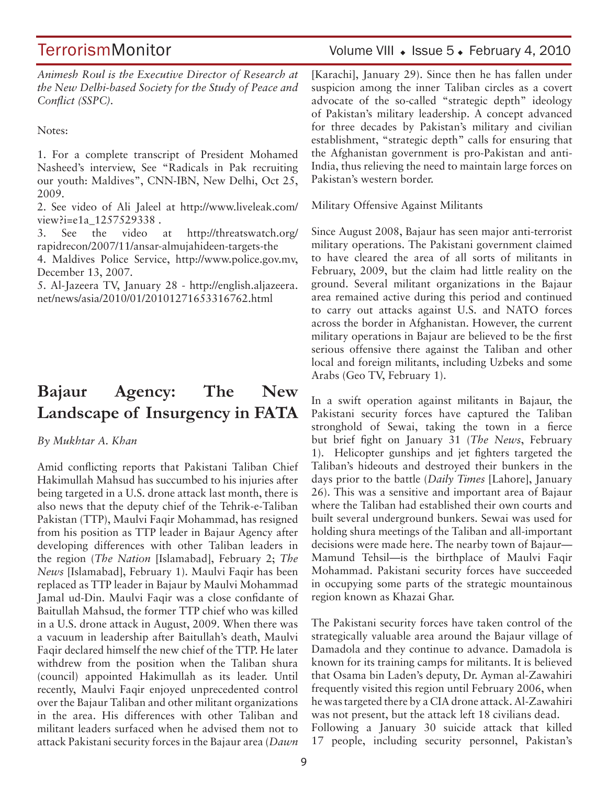## TerrorismMonitor Volume VIII + Issue 5 + February 4, 2010

*Animesh Roul is the Executive Director of Research at the New Delhi-based Society for the Study of Peace and Conflict (SSPC).*

Notes:

1. For a complete transcript of President Mohamed Nasheed's interview, See "Radicals in Pak recruiting our youth: Maldives", CNN-IBN, New Delhi, Oct 25, 2009.

2. See video of Ali Jaleel at http://www.liveleak.com/ view?i=e1a 1257529338.

3. See the video at http://threatswatch.org/ rapidrecon/2007/11/ansar-almujahideen-targets-the

4. Maldives Police Service, http://www.police.gov.mv, December 13, 2007.

5. Al-Jazeera TV, January 28 - http://english.aljazeera. net/news/asia/2010/01/20101271653316762.html

## **Bajaur Agency: The New Landscape of Insurgency in FATA**

*By Mukhtar A. Khan* 

Amid conflicting reports that Pakistani Taliban Chief Hakimullah Mahsud has succumbed to his injuries after being targeted in a U.S. drone attack last month, there is also news that the deputy chief of the Tehrik-e-Taliban Pakistan (TTP), Maulvi Faqir Mohammad, has resigned from his position as TTP leader in Bajaur Agency after developing differences with other Taliban leaders in the region (*The Nation* [Islamabad], February 2; *The News* [Islamabad], February 1). Maulvi Faqir has been replaced as TTP leader in Bajaur by Maulvi Mohammad Jamal ud-Din. Maulvi Faqir was a close confidante of Baitullah Mahsud, the former TTP chief who was killed in a U.S. drone attack in August, 2009. When there was a vacuum in leadership after Baitullah's death, Maulvi Faqir declared himself the new chief of the TTP. He later withdrew from the position when the Taliban shura (council) appointed Hakimullah as its leader. Until recently, Maulvi Faqir enjoyed unprecedented control over the Bajaur Taliban and other militant organizations in the area. His differences with other Taliban and militant leaders surfaced when he advised them not to attack Pakistani security forces in the Bajaur area (*Dawn* [Karachi], January 29). Since then he has fallen under suspicion among the inner Taliban circles as a covert advocate of the so-called "strategic depth" ideology of Pakistan's military leadership. A concept advanced for three decades by Pakistan's military and civilian establishment, "strategic depth" calls for ensuring that the Afghanistan government is pro-Pakistan and anti-India, thus relieving the need to maintain large forces on Pakistan's western border.

Military Offensive Against Militants

Since August 2008, Bajaur has seen major anti-terrorist military operations. The Pakistani government claimed to have cleared the area of all sorts of militants in February, 2009, but the claim had little reality on the ground. Several militant organizations in the Bajaur area remained active during this period and continued to carry out attacks against U.S. and NATO forces across the border in Afghanistan. However, the current military operations in Bajaur are believed to be the first serious offensive there against the Taliban and other local and foreign militants, including Uzbeks and some Arabs (Geo TV, February 1).

In a swift operation against militants in Bajaur, the Pakistani security forces have captured the Taliban stronghold of Sewai, taking the town in a fierce but brief fight on January 31 (*The News*, February 1). Helicopter gunships and jet fighters targeted the Taliban's hideouts and destroyed their bunkers in the days prior to the battle (*Daily Times* [Lahore], January 26). This was a sensitive and important area of Bajaur where the Taliban had established their own courts and built several underground bunkers. Sewai was used for holding shura meetings of the Taliban and all-important decisions were made here. The nearby town of Bajaur— Mamund Tehsil—is the birthplace of Maulvi Faqir Mohammad. Pakistani security forces have succeeded in occupying some parts of the strategic mountainous region known as Khazai Ghar.

The Pakistani security forces have taken control of the strategically valuable area around the Bajaur village of Damadola and they continue to advance. Damadola is known for its training camps for militants. It is believed that Osama bin Laden's deputy, Dr. Ayman al-Zawahiri frequently visited this region until February 2006, when he was targeted there by a CIA drone attack. Al-Zawahiri was not present, but the attack left 18 civilians dead. Following a January 30 suicide attack that killed 17 people, including security personnel, Pakistan's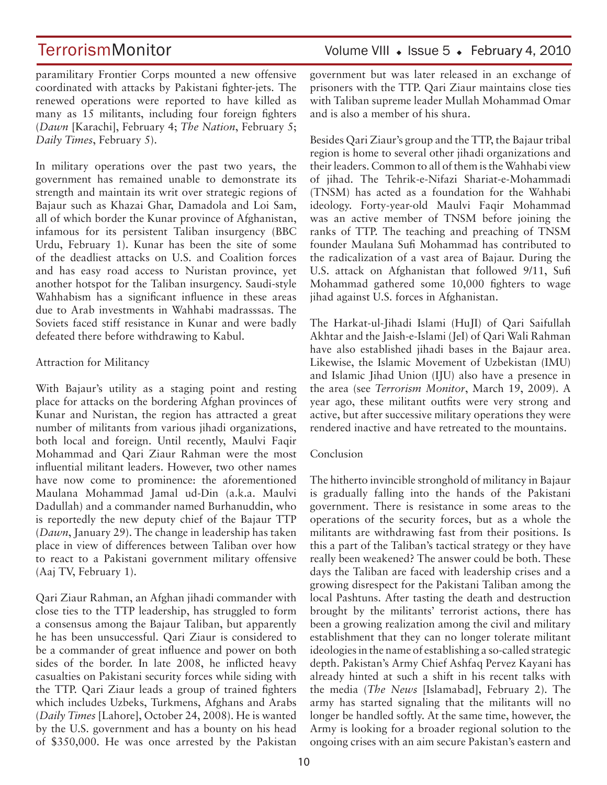paramilitary Frontier Corps mounted a new offensive coordinated with attacks by Pakistani fighter-jets. The renewed operations were reported to have killed as many as 15 militants, including four foreign fighters (*Dawn* [Karachi], February 4; *The Nation*, February 5; *Daily Times*, February 5).

In military operations over the past two years, the government has remained unable to demonstrate its strength and maintain its writ over strategic regions of Bajaur such as Khazai Ghar, Damadola and Loi Sam, all of which border the Kunar province of Afghanistan, infamous for its persistent Taliban insurgency (BBC Urdu, February 1). Kunar has been the site of some of the deadliest attacks on U.S. and Coalition forces and has easy road access to Nuristan province, yet another hotspot for the Taliban insurgency. Saudi-style Wahhabism has a significant influence in these areas due to Arab investments in Wahhabi madrasssas. The Soviets faced stiff resistance in Kunar and were badly defeated there before withdrawing to Kabul.

### Attraction for Militancy

With Bajaur's utility as a staging point and resting place for attacks on the bordering Afghan provinces of Kunar and Nuristan, the region has attracted a great number of militants from various jihadi organizations, both local and foreign. Until recently, Maulvi Faqir Mohammad and Qari Ziaur Rahman were the most influential militant leaders. However, two other names have now come to prominence: the aforementioned Maulana Mohammad Jamal ud-Din (a.k.a. Maulvi Dadullah) and a commander named Burhanuddin, who is reportedly the new deputy chief of the Bajaur TTP (*Dawn*, January 29). The change in leadership has taken place in view of differences between Taliban over how to react to a Pakistani government military offensive (Aaj TV, February 1).

Qari Ziaur Rahman, an Afghan jihadi commander with close ties to the TTP leadership, has struggled to form a consensus among the Bajaur Taliban, but apparently he has been unsuccessful. Qari Ziaur is considered to be a commander of great influence and power on both sides of the border. In late 2008, he inflicted heavy casualties on Pakistani security forces while siding with the TTP. Qari Ziaur leads a group of trained fighters which includes Uzbeks, Turkmens, Afghans and Arabs (*Daily Times* [Lahore], October 24, 2008). He is wanted by the U.S. government and has a bounty on his head of \$350,000. He was once arrested by the Pakistan government but was later released in an exchange of prisoners with the TTP. Qari Ziaur maintains close ties with Taliban supreme leader Mullah Mohammad Omar and is also a member of his shura.

Besides Qari Ziaur's group and the TTP, the Bajaur tribal region is home to several other jihadi organizations and their leaders. Common to all of them is the Wahhabi view of jihad. The Tehrik-e-Nifazi Shariat-e-Mohammadi (TNSM) has acted as a foundation for the Wahhabi ideology. Forty-year-old Maulvi Faqir Mohammad was an active member of TNSM before joining the ranks of TTP. The teaching and preaching of TNSM founder Maulana Sufi Mohammad has contributed to the radicalization of a vast area of Bajaur. During the U.S. attack on Afghanistan that followed 9/11, Sufi Mohammad gathered some 10,000 fighters to wage jihad against U.S. forces in Afghanistan.

The Harkat-ul-Jihadi Islami (HuJI) of Qari Saifullah Akhtar and the Jaish-e-Islami (JeI) of Qari Wali Rahman have also established jihadi bases in the Bajaur area. Likewise, the Islamic Movement of Uzbekistan (IMU) and Islamic Jihad Union (IJU) also have a presence in the area (see *Terrorism Monitor*, March 19, 2009). A year ago, these militant outfits were very strong and active, but after successive military operations they were rendered inactive and have retreated to the mountains.

### Conclusion

The hitherto invincible stronghold of militancy in Bajaur is gradually falling into the hands of the Pakistani government. There is resistance in some areas to the operations of the security forces, but as a whole the militants are withdrawing fast from their positions. Is this a part of the Taliban's tactical strategy or they have really been weakened? The answer could be both. These days the Taliban are faced with leadership crises and a growing disrespect for the Pakistani Taliban among the local Pashtuns. After tasting the death and destruction brought by the militants' terrorist actions, there has been a growing realization among the civil and military establishment that they can no longer tolerate militant ideologies in the name of establishing a so-called strategic depth. Pakistan's Army Chief Ashfaq Pervez Kayani has already hinted at such a shift in his recent talks with the media (*The News* [Islamabad], February 2). The army has started signaling that the militants will no longer be handled softly. At the same time, however, the Army is looking for a broader regional solution to the ongoing crises with an aim secure Pakistan's eastern and